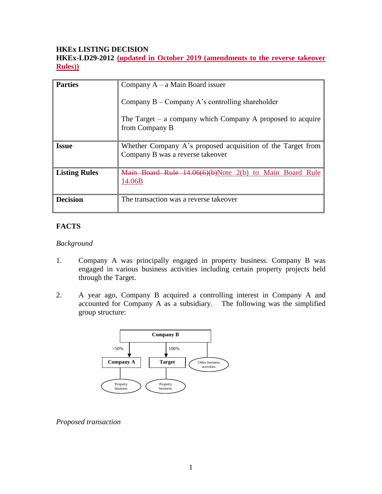#### **HKEx LISTING DECISION**

**HKEx-LD29-2012 (updated in October 2019 (amendments to the reverse takeover Rules))**

| <b>Parties</b>       | Company $A - a$ Main Board issuer                                                               |
|----------------------|-------------------------------------------------------------------------------------------------|
|                      | Company $B -$ Company A's controlling shareholder                                               |
|                      | The Target $-$ a company which Company A proposed to acquire<br>from Company B                  |
| <b>Issue</b>         | Whether Company A's proposed acquisition of the Target from<br>Company B was a reverse takeover |
| <b>Listing Rules</b> | Main Board Rule 14.06(6)(b)Note 2(b) to Main Board Rule<br>14.06B                               |
| <b>Decision</b>      | The transaction was a reverse takeover                                                          |

## **FACTS**

#### *Background*

- 1. Company A was principally engaged in property business. Company B was engaged in various business activities including certain property projects held through the Target.
- 2. A year ago, Company B acquired a controlling interest in Company A and accounted for Company A as a subsidiary. The following was the simplified group structure:



#### *Proposed transaction*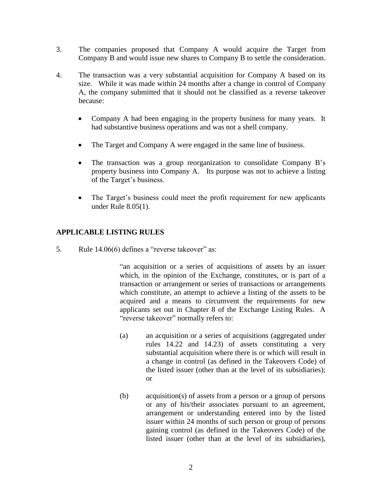- 3. The companies proposed that Company A would acquire the Target from Company B and would issue new shares to Company B to settle the consideration.
- 4. The transaction was a very substantial acquisition for Company A based on its size. While it was made within 24 months after a change in control of Company A, the company submitted that it should not be classified as a reverse takeover because:
	- Company A had been engaging in the property business for many years. It had substantive business operations and was not a shell company.
	- The Target and Company A were engaged in the same line of business.
	- The transaction was a group reorganization to consolidate Company B's property business into Company A. Its purpose was not to achieve a listing of the Target's business.
	- The Target's business could meet the profit requirement for new applicants under Rule 8.05(1).

## **APPLICABLE LISTING RULES**

5. Rule 14.06(6) defines a "reverse takeover" as:

"an acquisition or a series of acquisitions of assets by an issuer which, in the opinion of the Exchange, constitutes, or is part of a transaction or arrangement or series of transactions or arrangements which constitute, an attempt to achieve a listing of the assets to be acquired and a means to circumvent the requirements for new applicants set out in Chapter 8 of the Exchange Listing Rules. A "reverse takeover" normally refers to:

- (a) an acquisition or a series of acquisitions (aggregated under rules 14.22 and 14.23) of assets constituting a very substantial acquisition where there is or which will result in a change in control (as defined in the Takeovers Code) of the listed issuer (other than at the level of its subsidiaries); or
- (b) acquisition(s) of assets from a person or a group of persons or any of his/their associates pursuant to an agreement, arrangement or understanding entered into by the listed issuer within 24 months of such person or group of persons gaining control (as defined in the Takeovers Code) of the listed issuer (other than at the level of its subsidiaries),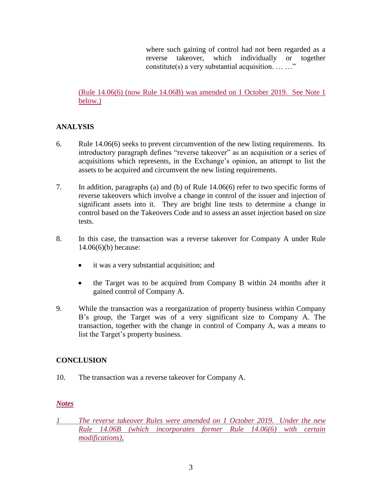where such gaining of control had not been regarded as a reverse takeover, which individually or together constitute(s) a very substantial acquisition. … …"

(Rule 14.06(6) (now Rule 14.06B) was amended on 1 October 2019. See Note 1 below.)

# **ANALYSIS**

- 6. Rule 14.06(6) seeks to prevent circumvention of the new listing requirements. Its introductory paragraph defines "reverse takeover" as an acquisition or a series of acquisitions which represents, in the Exchange's opinion, an attempt to list the assets to be acquired and circumvent the new listing requirements.
- 7. In addition, paragraphs (a) and (b) of Rule 14.06(6) refer to two specific forms of reverse takeovers which involve a change in control of the issuer and injection of significant assets into it. They are bright line tests to determine a change in control based on the Takeovers Code and to assess an asset injection based on size tests.
- 8. In this case, the transaction was a reverse takeover for Company A under Rule 14.06(6)(b) because:
	- it was a very substantial acquisition; and
	- the Target was to be acquired from Company B within 24 months after it gained control of Company A.
- 9. While the transaction was a reorganization of property business within Company B's group, the Target was of a very significant size to Company A. The transaction, together with the change in control of Company A, was a means to list the Target's property business.

# **CONCLUSION**

10. The transaction was a reverse takeover for Company A.

### *Notes*

*1 The reverse takeover Rules were amended on 1 October 2019. Under the new Rule 14.06B (which incorporates former Rule 14.06(6) with certain modifications),*